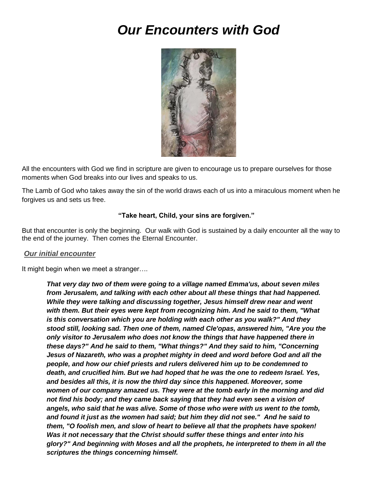# *Our Encounters with God*



All the encounters with God we find in scripture are given to encourage us to prepare ourselves for those moments when God breaks into our lives and speaks to us.

The Lamb of God who takes away the sin of the world draws each of us into a miraculous moment when he forgives us and sets us free.

### **"Take heart, Child, your sins are forgiven."**

But that encounter is only the beginning. Our walk with God is sustained by a daily encounter all the way to the end of the journey. Then comes the Eternal Encounter.

# *Our initial encounter*

It might begin when we meet a stranger….

*That very day two of them were going to a village named Emma'us, about seven miles from Jerusalem, and talking with each other about all these things that had happened. While they were talking and discussing together, Jesus himself drew near and went with them. But their eyes were kept from recognizing him. And he said to them, "What is this conversation which you are holding with each other as you walk?" And they stood still, looking sad. Then one of them, named Cle'opas, answered him, "Are you the only visitor to Jerusalem who does not know the things that have happened there in these days?" And he said to them, "What things?" And they said to him, "Concerning Jesus of Nazareth, who was a prophet mighty in deed and word before God and all the people, and how our chief priests and rulers delivered him up to be condemned to death, and crucified him. But we had hoped that he was the one to redeem Israel. Yes, and besides all this, it is now the third day since this happened. Moreover, some women of our company amazed us. They were at the tomb early in the morning and did not find his body; and they came back saying that they had even seen a vision of angels, who said that he was alive. Some of those who were with us went to the tomb, and found it just as the women had said; but him they did not see." And he said to them, "O foolish men, and slow of heart to believe all that the prophets have spoken! Was it not necessary that the Christ should suffer these things and enter into his glory?" And beginning with Moses and all the prophets, he interpreted to them in all the scriptures the things concerning himself.*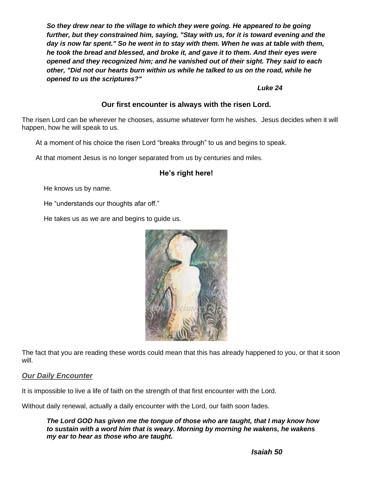*So they drew near to the village to which they were going. He appeared to be going further, but they constrained him, saying, "Stay with us, for it is toward evening and the day is now far spent." So he went in to stay with them. When he was at table with them, he took the bread and blessed, and broke it, and gave it to them. And their eyes were opened and they recognized him; and he vanished out of their sight. They said to each other, "Did not our hearts burn within us while he talked to us on the road, while he opened to us the scriptures?"* 

#### *Luke 24*

# **Our first encounter is always with the risen Lord.**

The risen Lord can be wherever he chooses, assume whatever form he wishes. Jesus decides when it will happen, how he will speak to us.

At a moment of his choice the risen Lord "breaks through" to us and begins to speak.

At that moment Jesus is no longer separated from us by centuries and miles.

# **He's right here!**

He knows us by name.

He "understands our thoughts afar off."

He takes us as we are and begins to guide us.



The fact that you are reading these words could mean that this has already happened to you, or that it soon will.

### *Our Daily Encounter*

It is impossible to live a life of faith on the strength of that first encounter with the Lord.

Without daily renewal, actually a daily encounter with the Lord, our faith soon fades.

#### *The Lord GOD has given me the tongue of those who are taught, that I may know how to sustain with a word him that is weary. Morning by morning he wakens, he wakens my ear to hear as those who are taught.*

*Isaiah 50*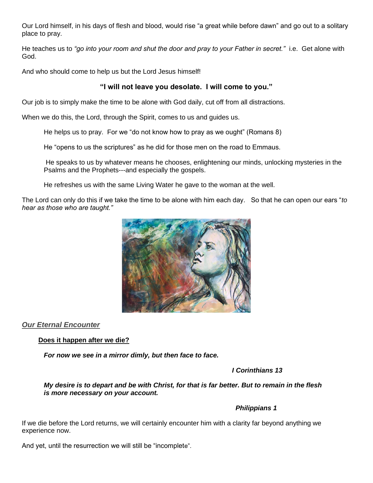Our Lord himself, in his days of flesh and blood, would rise "a great while before dawn" and go out to a solitary place to pray.

He teaches us to *"go into your room and shut the door and pray to your Father in secret."* i.e. Get alone with God.

And who should come to help us but the Lord Jesus himself!

# **"I will not leave you desolate. I will come to you."**

Our job is to simply make the time to be alone with God daily, cut off from all distractions.

When we do this, the Lord, through the Spirit, comes to us and guides us.

He helps us to pray. For we "do not know how to pray as we ought" (Romans 8)

He "opens to us the scriptures" as he did for those men on the road to Emmaus.

He speaks to us by whatever means he chooses, enlightening our minds, unlocking mysteries in the Psalms and the Prophets---and especially the gospels.

He refreshes us with the same Living Water he gave to the woman at the well.

The Lord can only do this if we take the time to be alone with him each day. So that he can open our ears "*to hear as those who are taught."*



# *Our Eternal Encounter*

### **Does it happen after we die?**

*For now we see in a mirror dimly, but then face to face.*

### *I Corinthians 13*

*My desire is to depart and be with Christ, for that is far better. But to remain in the flesh is more necessary on your account.*

# *Philippians 1*

If we die before the Lord returns, we will certainly encounter him with a clarity far beyond anything we experience now.

And yet, until the resurrection we will still be "incomplete".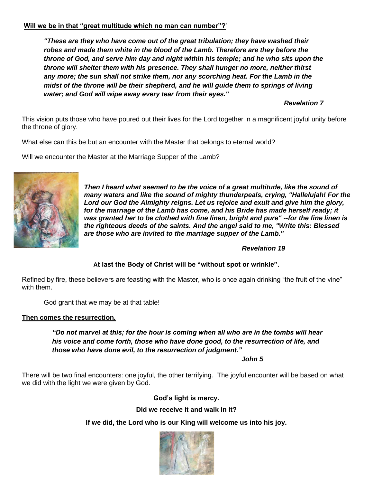# **Will we be in that "great multitude which no man can number"?**'

*"These are they who have come out of the great tribulation; they have washed their*  robes and made them white in the blood of the Lamb. Therefore are they before the *throne of God, and serve him day and night within his temple; and he who sits upon the throne will shelter them with his presence. They shall hunger no more, neither thirst any more; the sun shall not strike them, nor any scorching heat. For the Lamb in the midst of the throne will be their shepherd, and he will guide them to springs of living water; and God will wipe away every tear from their eyes."*

*Revelation 7*

This vision puts those who have poured out their lives for the Lord together in a magnificent joyful unity before the throne of glory.

What else can this be but an encounter with the Master that belongs to eternal world?

Will we encounter the Master at the Marriage Supper of the Lamb?



Then I heard what seemed to be the voice of a great multitude, like the sound of *many waters and like the sound of mighty thunderpeals, crying, "Hallelujah! For the Lord our God the Almighty reigns. Let us rejoice and exult and give him the glory, for the marriage of the Lamb has come, and his Bride has made herself ready; it was granted her to be clothed with fine linen, bright and pure" --for the fine linen is the righteous deeds of the saints. And the angel said to me, "Write this: Blessed are those who are invited to the marriage supper of the Lamb."*

# *Revelation 19*

# **At last the Body of Christ will be "without spot or wrinkle".**

Refined by fire, these believers are feasting with the Master, who is once again drinking "the fruit of the vine" with them.

God grant that we may be at that table!

### **Then comes the resurrection.**

*"Do not marvel at this; for the hour is coming when all who are in the tombs will hear his voice and come forth, those who have done good, to the resurrection of life, and those who have done evil, to the resurrection of judgment."*

*John 5*

There will be two final encounters: one joyful, the other terrifying. The joyful encounter will be based on what we did with the light we were given by God.

**God's light is mercy.**

**Did we receive it and walk in it?**

**If we did, the Lord who is our King will welcome us into his joy.**